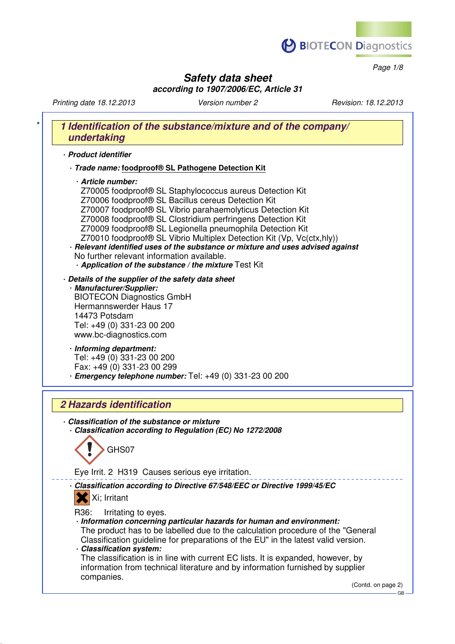

*Page 1/8*

## *Safety data sheet according to 1907/2006/EC, Article 31*

*Printing date 18.12.2013 Version number 2 Revision: 18.12.2013*

# \* *1 Identification of the substance/mixture and of the company/ undertaking* · *Product identifier* · *Trade name:* **foodproof® SL Pathogene Detection Kit** · *Article number:* Z70005 foodproof® SL Staphylococcus aureus Detection Kit Z70006 foodproof® SL Bacillus cereus Detection Kit Z70007 foodproof® SL Vibrio parahaemolyticus Detection Kit Z70008 foodproof® SL Clostridium perfringens Detection Kit Z70009 foodproof® SL Legionella pneumophila Detection Kit Z70010 foodproof® SL Vibrio Multiplex Detection Kit (Vp, Vc(ctx,hly)) · *Relevant identified uses of the substance or mixture and uses advised against* No further relevant information available. · *Application of the substance / the mixture* Test Kit · *Details of the supplier of the safety data sheet* · *Manufacturer/Supplier:* BIOTECON Diagnostics GmbH Hermannswerder Haus 17 14473 Potsdam Tel: +49 (0) 331-23 00 200 www.bc-diagnostics.com · *Informing department:* Tel: +49 (0) 331-23 00 200 Fax: +49 (0) 331-23 00 299 · *Emergency telephone number:* Tel: +49 (0) 331-23 00 200 *2 Hazards identification* · *Classification of the substance or mixture* · *Classification according to Regulation (EC) No 1272/2008* GHS07 Eye Irrit. 2 H319 Causes serious eye irritation. · *Classification according to Directive 67/548/EEC or Directive 1999/45/EC* Xi; Irritant R36: Irritating to eyes. · *Information concerning particular hazards for human and environment:* The product has to be labelled due to the calculation procedure of the "General Classification guideline for preparations of the EU" in the latest valid version. · *Classification system:* The classification is in line with current EC lists. It is expanded, however, by

information from technical literature and by information furnished by supplier companies.

(Contd. on page 2)

GB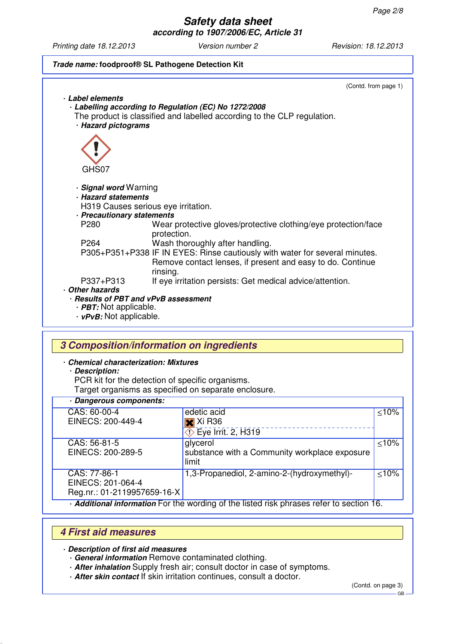*Printing date 18.12.2013 Version number 2 Revision: 18.12.2013*



## *3 Composition/information on ingredients*

- · *Chemical characterization: Mixtures*
	- · *Description:*

PCR kit for the detection of specific organisms.

Target organisms as specified on separate enclosure.

## · *Dangerous components:*

| CAS: 60-00-4                                                                             | edetic acid                                   | < 10%  |
|------------------------------------------------------------------------------------------|-----------------------------------------------|--------|
| EINECS: 200-449-4                                                                        | $\overline{\mathbf{x}}$ Xi R36                |        |
|                                                                                          | $\diamondsuit$ Eye Irrit. 2, H319             |        |
| CAS: 56-81-5                                                                             | glycerol                                      | < 10%  |
| EINECS: 200-289-5                                                                        | substance with a Community workplace exposure |        |
|                                                                                          | limit                                         |        |
| CAS: 77-86-1                                                                             | 1,3-Propanediol, 2-amino-2-(hydroxymethyl)-   | $≤10%$ |
| EINECS: 201-064-4                                                                        |                                               |        |
| Reg.nr.: 01-2119957659-16-X                                                              |                                               |        |
| . Additional information For the wording of the listed risk phrases refer to section 16. |                                               |        |

## *4 First aid measures*

· *Description of first aid measures*

- · *General information* Remove contaminated clothing.
- · *After inhalation* Supply fresh air; consult doctor in case of symptoms.
- · *After skin contact* If skin irritation continues, consult a doctor.

(Contd. on page 3)

GB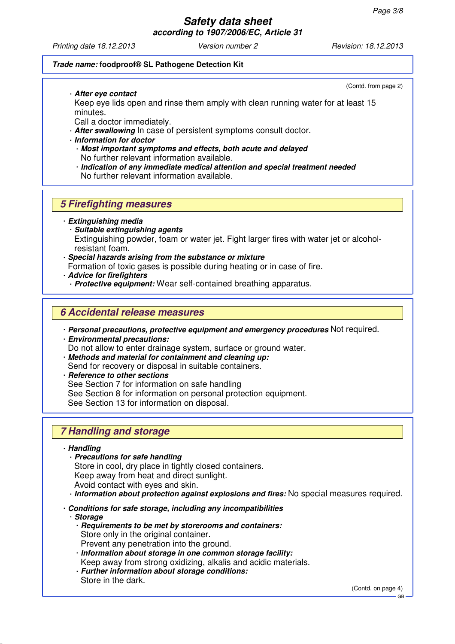*Printing date 18.12.2013 Version number 2 Revision: 18.12.2013*

(Contd. from page 2)

### *Trade name:* **foodproof® SL Pathogene Detection Kit**

· *After eye contact*

Keep eye lids open and rinse them amply with clean running water for at least 15 minutes.

Call a doctor immediately.

- · *After swallowing* In case of persistent symptoms consult doctor.
- · *Information for doctor*
	- · *Most important symptoms and effects, both acute and delayed* No further relevant information available.
	- · *Indication of any immediate medical attention and special treatment needed* No further relevant information available.

## *5 Firefighting measures*

· *Extinguishing media*

- · *Suitable extinguishing agents* Extinguishing powder, foam or water jet. Fight larger fires with water jet or alcoholresistant foam.
- · *Special hazards arising from the substance or mixture*
- Formation of toxic gases is possible during heating or in case of fire.
- · *Advice for firefighters*
	- · *Protective equipment:* Wear self-contained breathing apparatus.

## *6 Accidental release measures*

- · *Personal precautions, protective equipment and emergency procedures* Not required.
- · *Environmental precautions:* Do not allow to enter drainage system, surface or ground water. · *Methods and material for containment and cleaning up:*
- Send for recovery or disposal in suitable containers.
- · *Reference to other sections* See Section 7 for information on safe handling See Section 8 for information on personal protection equipment. See Section 13 for information on disposal.

# *7 Handling and storage*

### · *Handling*

- · *Precautions for safe handling* Store in cool, dry place in tightly closed containers. Keep away from heat and direct sunlight. Avoid contact with eyes and skin.
- · *Information about protection against explosions and fires:* No special measures required.
- · *Conditions for safe storage, including any incompatibilities*
- · *Storage*
	- · *Requirements to be met by storerooms and containers:* Store only in the original container. Prevent any penetration into the ground.
	- · *Information about storage in one common storage facility:* Keep away from strong oxidizing, alkalis and acidic materials.
	- · *Further information about storage conditions:*
	- Store in the dark.

(Contd. on page 4)

**GB**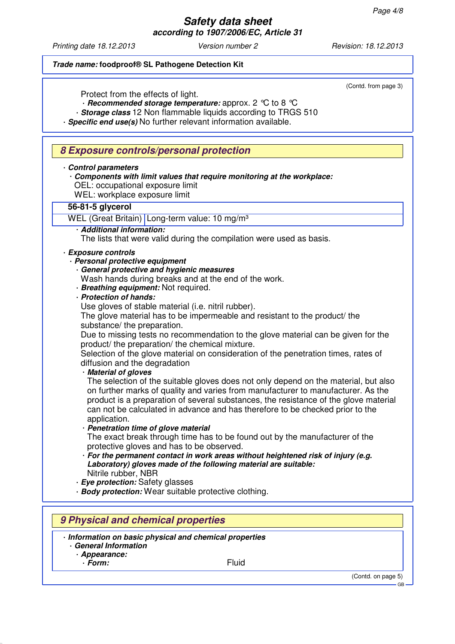*Printing date 18.12.2013 Version number 2 Revision: 18.12.2013*

### *Trade name:* **foodproof® SL Pathogene Detection Kit**

(Contd. from page 3)

Protect from the effects of light.

· *Recommended storage temperature:* approx. 2 °C to 8 °C

· *Storage class* 12 Non flammable liquids according to TRGS 510

· *Specific end use(s)* No further relevant information available.

## *8 Exposure controls/personal protection*

#### · *Control parameters*

- · *Components with limit values that require monitoring at the workplace:* OEL: occupational exposure limit
- WEL: workplace exposure limit
- 

## **56-81-5 glycerol**

WEL (Great Britain) Long-term value: 10 mg/m<sup>3</sup>

· *Additional information:*

The lists that were valid during the compilation were used as basis.

### · *Exposure controls*

· *Personal protective equipment*

- · *General protective and hygienic measures*
- Wash hands during breaks and at the end of the work.
- · *Breathing equipment:* Not required.
- · *Protection of hands:*

Use gloves of stable material *(i.e. nitril rubber)*.

The glove material has to be impermeable and resistant to the product/ the substance/ the preparation.

Due to missing tests no recommendation to the glove material can be given for the product/ the preparation/ the chemical mixture.

Selection of the glove material on consideration of the penetration times, rates of diffusion and the degradation

### · *Material of gloves*

The selection of the suitable gloves does not only depend on the material, but also on further marks of quality and varies from manufacturer to manufacturer. As the product is a preparation of several substances, the resistance of the glove material can not be calculated in advance and has therefore to be checked prior to the application.

#### · *Penetration time of glove material*

The exact break through time has to be found out by the manufacturer of the protective gloves and has to be observed.

· *For the permanent contact in work areas without heightened risk of injury (e.g. Laboratory) gloves made of the following material are suitable:* Nitrile rubber, NBR

· *Eye protection:* Safety glasses

· *Body protection:* Wear suitable protective clothing.

# *9 Physical and chemical properties*

· *Information on basic physical and chemical properties*

· *General Information* · *Appearance:*

· *Form:* Fluid

(Contd. on page 5)

GB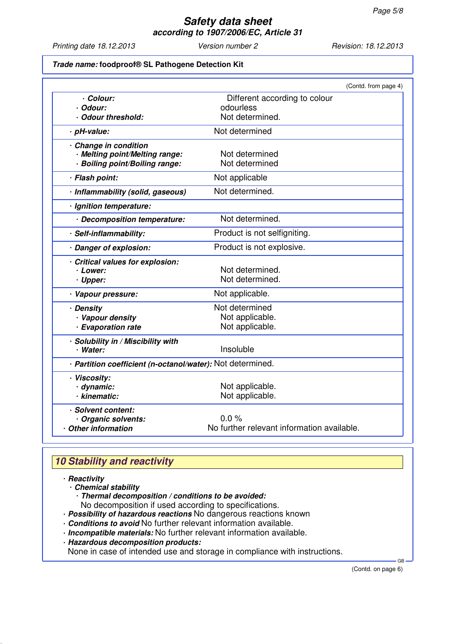*Printing date 18.12.2013 Version number 2 Revision: 18.12.2013*

### *Trade name:* **foodproof® SL Pathogene Detection Kit**

|                                                            |                                            | (Contd. from page 4) |
|------------------------------------------------------------|--------------------------------------------|----------------------|
| · Colour:                                                  | Different according to colour              |                      |
| · Odour:                                                   | odourless                                  |                      |
| · Odour threshold:                                         | Not determined.                            |                      |
| · pH-value:                                                | Not determined                             |                      |
| · Change in condition                                      |                                            |                      |
| · Melting point/Melting range:                             | Not determined                             |                      |
| · Boiling point/Boiling range:                             | Not determined                             |                      |
| · Flash point:                                             | Not applicable                             |                      |
| · Inflammability (solid, gaseous)                          | Not determined.                            |                      |
| · Ignition temperature:                                    |                                            |                      |
| · Decomposition temperature:                               | Not determined.                            |                      |
| · Self-inflammability:                                     | Product is not selfigniting.               |                      |
| · Danger of explosion:                                     | Product is not explosive.                  |                      |
| Critical values for explosion:                             |                                            |                      |
| · Lower:                                                   | Not determined.                            |                      |
| · Upper:                                                   | Not determined.                            |                      |
| · Vapour pressure:                                         | Not applicable.                            |                      |
| · Density                                                  | Not determined                             |                      |
| · Vapour density                                           | Not applicable.                            |                      |
| · Evaporation rate                                         | Not applicable.                            |                      |
| · Solubility in / Miscibility with                         |                                            |                      |
| · Water:                                                   | Insoluble                                  |                      |
| · Partition coefficient (n-octanol/water): Not determined. |                                            |                      |
| · Viscosity:                                               |                                            |                      |
| · dynamic:                                                 | Not applicable.                            |                      |
| · kinematic:                                               | Not applicable.                            |                      |
| · Solvent content:                                         |                                            |                      |
| Organic solvents:                                          | $0.0 \%$                                   |                      |
| · Other information                                        | No further relevant information available. |                      |

# *10 Stability and reactivity*

### · *Reactivity*

- · *Chemical stability*
	- · *Thermal decomposition / conditions to be avoided:*
- No decomposition if used according to specifications.
- · *Possibility of hazardous reactions* No dangerous reactions known
- · *Conditions to avoid* No further relevant information available.
- · *Incompatible materials:* No further relevant information available.
- · *Hazardous decomposition products:*

None in case of intended use and storage in compliance with instructions.

(Contd. on page 6)

GB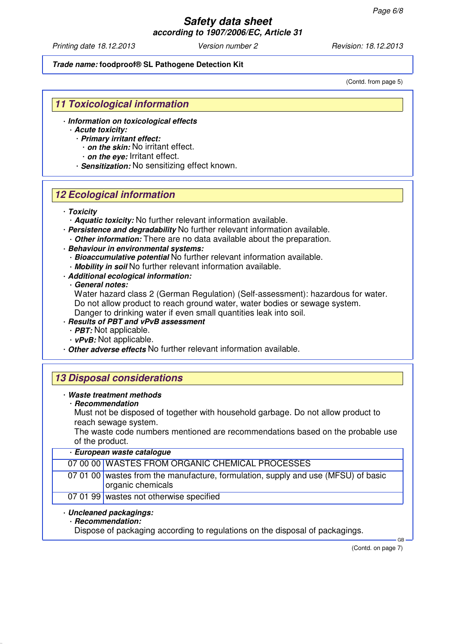*Printing date 18.12.2013 Version number 2 Revision: 18.12.2013*

#### *Trade name:* **foodproof® SL Pathogene Detection Kit**

(Contd. from page 5)

## *11 Toxicological information*

- · *Information on toxicological effects*
	- · *Acute toxicity:* · *Primary irritant effect:*
		- · *on the skin:* No irritant effect.
		- · *on the eye:* Irritant effect.
		- · *Sensitization:* No sensitizing effect known.

## *12 Ecological information*

- · *Toxicity*
	- · *Aquatic toxicity:* No further relevant information available.
- · *Persistence and degradability* No further relevant information available. · *Other information:* There are no data available about the preparation.
- · *Behaviour in environmental systems:*
	- · *Bioaccumulative potential* No further relevant information available.
- · *Mobility in soil* No further relevant information available.
- · *Additional ecological information:*

### · *General notes:*

Water hazard class 2 (German Regulation) (Self-assessment): hazardous for water. Do not allow product to reach ground water, water bodies or sewage system. Danger to drinking water if even small quantities leak into soil.

- · *Results of PBT and vPvB assessment*
	- · *PBT:* Not applicable.
	- · *vPvB:* Not applicable.
- · *Other adverse effects* No further relevant information available.

# *13 Disposal considerations*

- · *Waste treatment methods*
	- · *Recommendation*
		- Must not be disposed of together with household garbage. Do not allow product to reach sewage system.

The waste code numbers mentioned are recommendations based on the probable use of the product.

### · *European waste catalogue*

|                         | 07 00 00 WASTES FROM ORGANIC CHEMICAL PROCESSES                                                        |  |
|-------------------------|--------------------------------------------------------------------------------------------------------|--|
|                         | 07 01 00 wastes from the manufacture, formulation, supply and use (MFSU) of basic<br>organic chemicals |  |
|                         | 07 01 99 wastes not otherwise specified                                                                |  |
| · Uncleaned packagings: |                                                                                                        |  |

## · *Recommendation:*

Dispose of packaging according to regulations on the disposal of packagings.

(Contd. on page 7)

GB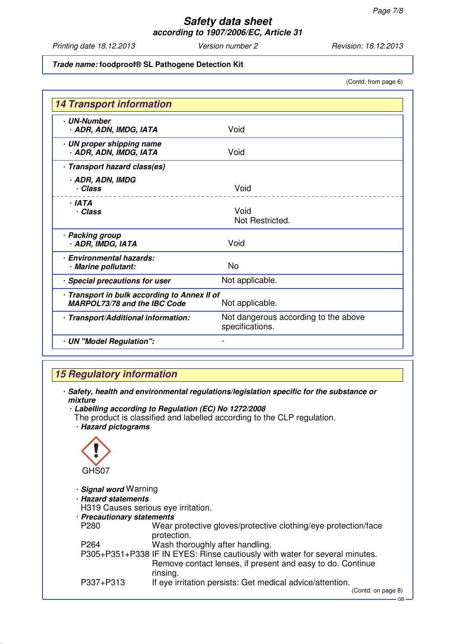*Printing date 18.12.2013 Version number 2 Revision: 18.12.2013*

### *Trade name:* **foodproof® SL Pathogene Detection Kit**

(Contd. from page 6)

| <b>· UN-Number</b><br>· ADR, ADN, IMDG, IATA                                        | Void                                                    |
|-------------------------------------------------------------------------------------|---------------------------------------------------------|
| · UN proper shipping name<br>· ADR, ADN, IMDG, IATA                                 | Void                                                    |
| · Transport hazard class(es)                                                        |                                                         |
| · ADR, ADN, IMDG<br>· Class                                                         | Void                                                    |
| . IATA<br>· Class                                                                   | Void<br>Not Restricted.                                 |
| · Packing group<br>· ADR, IMDG, IATA                                                | Void                                                    |
| · Environmental hazards:<br>· Marine pollutant:                                     | No                                                      |
| · Special precautions for user                                                      | Not applicable.                                         |
| · Transport in bulk according to Annex II of<br><b>MARPOL73/78 and the IBC Code</b> | Not applicable.                                         |
| · Transport/Additional information:                                                 | Not dangerous according to the above<br>specifications. |
| · UN "Model Regulation":                                                            |                                                         |

# *15 Regulatory information*

- · *Safety, health and environmental regulations/legislation specific for the substance or mixture*
	- · *Labelling according to Regulation (EC) No 1272/2008*
	- The product is classified and labelled according to the CLP regulation. · *Hazard pictograms*



- · *Signal word* Warning
- · *Hazard statements*
- H319 Causes serious eye irritation.
- · *Precautionary statements*

| P280             | Wear protective gloves/protective clothing/eye protection/face              |
|------------------|-----------------------------------------------------------------------------|
|                  | protection.                                                                 |
| P <sub>264</sub> | Wash thoroughly after handling.                                             |
|                  | P305+P351+P338 IF IN EYES: Rinse cautiously with water for several minutes. |
|                  | Remove contact lenses, if present and easy to do. Continue                  |
|                  | rinsing.                                                                    |
| P337+P313        | If eye irritation persists: Get medical advice/attention.                   |

GB